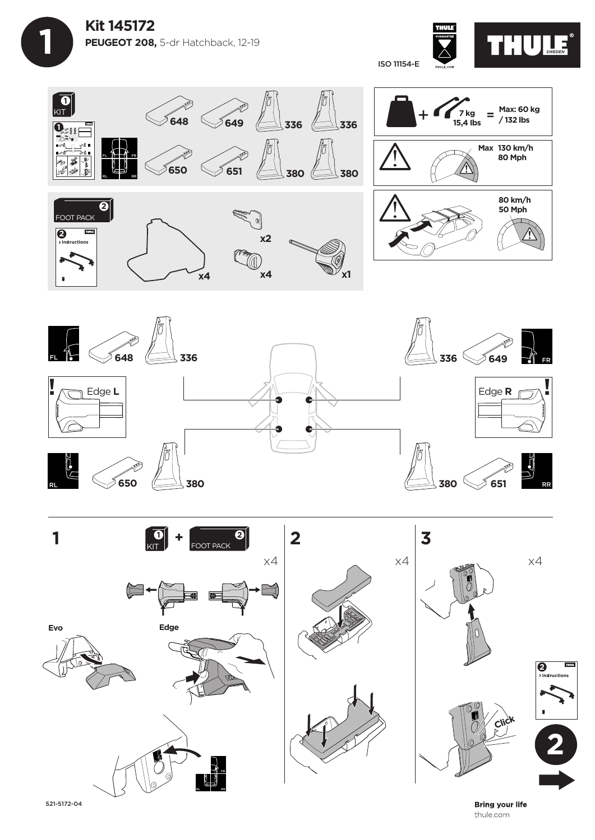









**Bring your life** thule.com

521-5172-04